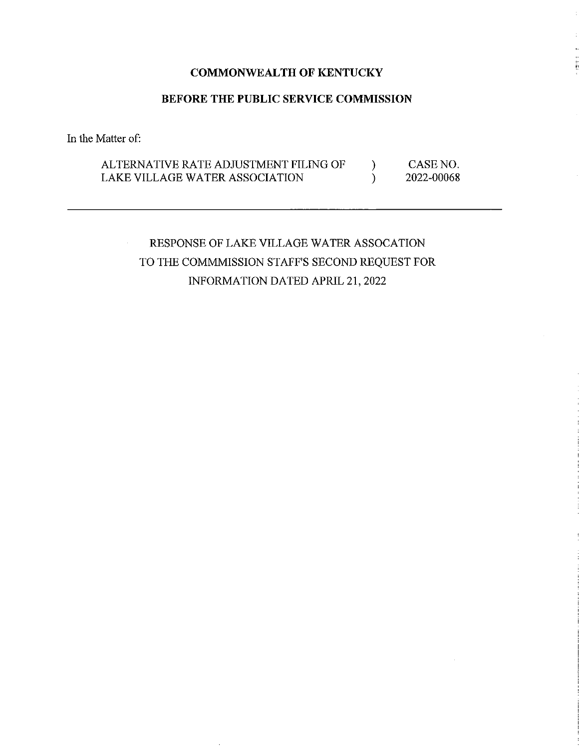## **COMMONWEALTH OF KENTUCKY**

## **BEFORE THE PUBLIC SERVICE COMMISSION**

In the Matter of:

#### ALTERNATIVE RATE ADJUSTMENT FILING OF LAKE VILLAGE WATER ASSOCIATION ) ) CASE NO. 2022-00068

RESPONSE OF LAKE VILLAGE WATER ASSOCATION TO THE COMMMISSION STAFF'S SECOND REQUEST FOR INFORMATION DATED APRIL 21, 2022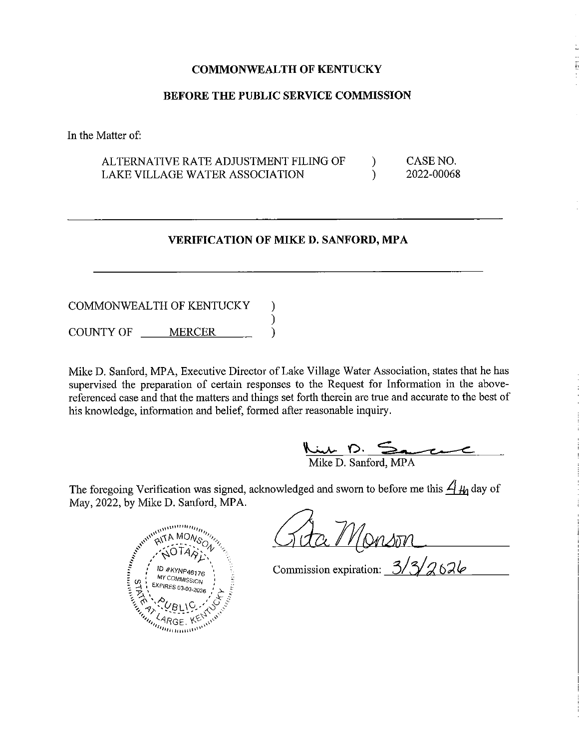## **COMMONWEALTH OF KENTUCKY**

### **BEFORE THE PUBLIC SERVICE COMMISSION**

In the Matter of:

#### ALTERNATIVE RATE ADJUSTMENT FILING OF LAKE VILLAGE WATER ASSOCIATION )  $\lambda$ CASE NO. 2022-00068

## **VERIFICATION OF MIKED. SANFORD, MPA**

COMMONWEALTH OF KENTUCKY COUNTY OF MERCER ) ) )

Mike D. Sanford, MPA, Executive Director of Lake Village Water Association, states that he has supervised the preparation of certain responses to the Request for Information in the abovereferenced case and that the matters and things set forth therein are true and accurate to the best of his knowledge, information and belief, formed after reasonable inquiry. nest for Information in the above-<br>
are true and accurate to the best of<br>
e inquiry.

 $\frac{\sum_{i=1}^{n} p_i}{\sum_{i=1}^{n} p_i}$ Mike D. **o.** 

The foregoing Verification was signed, acknowledged and sworn to before me this  $\frac{A}{A}$  day of May, 2022, by Mike D. Sanford, MPA.



Commission expiration: 3/3/2626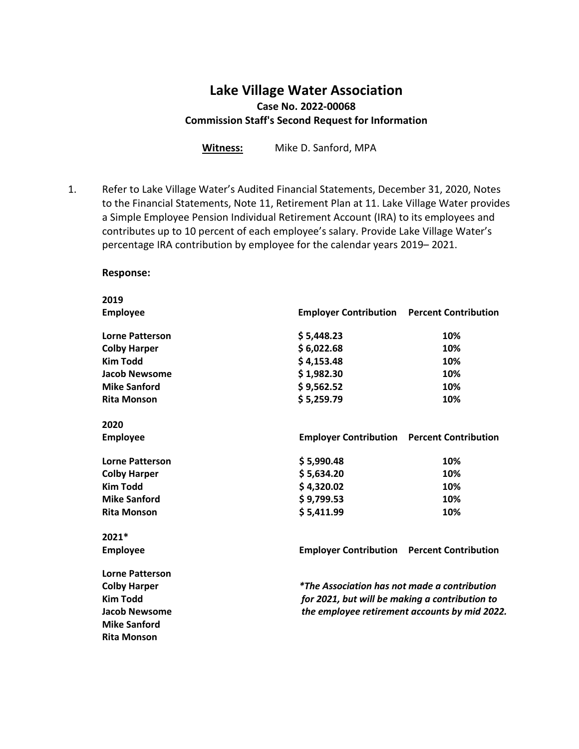# **Lake Village Water Association Case No. 2022-00068 Commission Staff's Second Request for Information**

**Witness:** Mike D. Sanford, MPA

1. Refer to Lake Village Water's Audited Financial Statements, December 31, 2020, Notes to the Financial Statements, Note 11, Retirement Plan at 11. Lake Village Water provides a Simple Employee Pension Individual Retirement Account (IRA) to its employees and contributes up to 10 percent of each employee's salary. Provide Lake Village Water's percentage IRA contribution by employee for the calendar years 2019– 2021.

### **Response:**

| 2019                   |                                                     |                                               |
|------------------------|-----------------------------------------------------|-----------------------------------------------|
| <b>Employee</b>        | <b>Employer Contribution</b> Percent Contribution   |                                               |
| <b>Lorne Patterson</b> | \$5,448.23                                          | 10%                                           |
| <b>Colby Harper</b>    | \$6,022.68                                          | 10%                                           |
| <b>Kim Todd</b>        | \$4,153.48                                          | 10%                                           |
| <b>Jacob Newsome</b>   | \$1,982.30                                          | 10%                                           |
| <b>Mike Sanford</b>    | \$9,562.52                                          | 10%                                           |
| <b>Rita Monson</b>     | \$5,259.79                                          | 10%                                           |
| 2020                   |                                                     |                                               |
| <b>Employee</b>        | <b>Employer Contribution</b> Percent Contribution   |                                               |
| <b>Lorne Patterson</b> | \$5,990.48                                          | 10%                                           |
| <b>Colby Harper</b>    | \$5,634.20                                          | 10%                                           |
| <b>Kim Todd</b>        | \$4,320.02                                          | 10%                                           |
| <b>Mike Sanford</b>    | \$9,799.53                                          | 10%                                           |
| <b>Rita Monson</b>     | \$5,411.99                                          | 10%                                           |
| 2021*                  |                                                     |                                               |
| <b>Employee</b>        | <b>Employer Contribution</b> Percent Contribution   |                                               |
| <b>Lorne Patterson</b> |                                                     |                                               |
| <b>Colby Harper</b>    | <i>*The Association has not made a contribution</i> |                                               |
| <b>Kim Todd</b>        | for 2021, but will be making a contribution to      |                                               |
| <b>Jacob Newsome</b>   |                                                     | the employee retirement accounts by mid 2022. |
| <b>Mike Sanford</b>    |                                                     |                                               |
| <b>Rita Monson</b>     |                                                     |                                               |